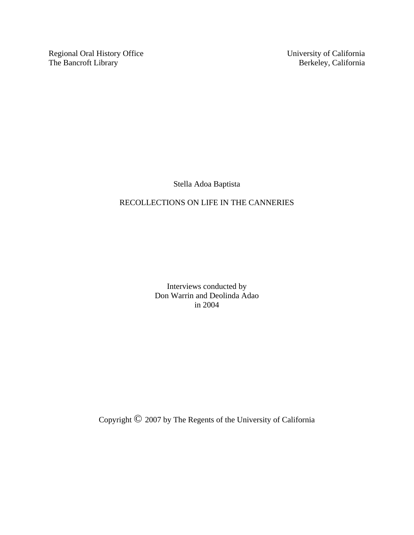Regional Oral History Office University of California<br>The Bancroft Library Berkeley, California The Bancroft Library

Stella Adoa Baptista

# RECOLLECTIONS ON LIFE IN THE CANNERIES

Interviews conducted by Don Warrin and Deolinda Adao in 2004

Copyright © 2007 by The Regents of the University of California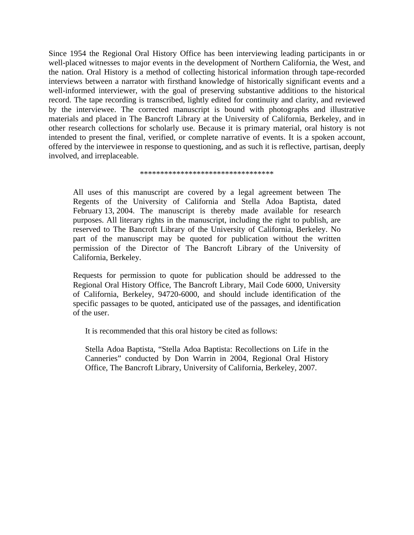Since 1954 the Regional Oral History Office has been interviewing leading participants in or well-placed witnesses to major events in the development of Northern California, the West, and the nation. Oral History is a method of collecting historical information through tape-recorded interviews between a narrator with firsthand knowledge of historically significant events and a well-informed interviewer, with the goal of preserving substantive additions to the historical record. The tape recording is transcribed, lightly edited for continuity and clarity, and reviewed by the interviewee. The corrected manuscript is bound with photographs and illustrative materials and placed in The Bancroft Library at the University of California, Berkeley, and in other research collections for scholarly use. Because it is primary material, oral history is not intended to present the final, verified, or complete narrative of events. It is a spoken account, offered by the interviewee in response to questioning, and as such it is reflective, partisan, deeply involved, and irreplaceable.

#### \*\*\*\*\*\*\*\*\*\*\*\*\*\*\*\*\*\*\*\*\*\*\*\*\*\*\*\*\*\*\*\*\*

All uses of this manuscript are covered by a legal agreement between The Regents of the University of California and Stella Adoa Baptista, dated February 13, 2004. The manuscript is thereby made available for research purposes. All literary rights in the manuscript, including the right to publish, are reserved to The Bancroft Library of the University of California, Berkeley. No part of the manuscript may be quoted for publication without the written permission of the Director of The Bancroft Library of the University of California, Berkeley.

Requests for permission to quote for publication should be addressed to the Regional Oral History Office, The Bancroft Library, Mail Code 6000, University of California, Berkeley, 94720-6000, and should include identification of the specific passages to be quoted, anticipated use of the passages, and identification of the user.

It is recommended that this oral history be cited as follows:

Stella Adoa Baptista, "Stella Adoa Baptista: Recollections on Life in the Canneries" conducted by Don Warrin in 2004, Regional Oral History Office, The Bancroft Library, University of California, Berkeley, 2007.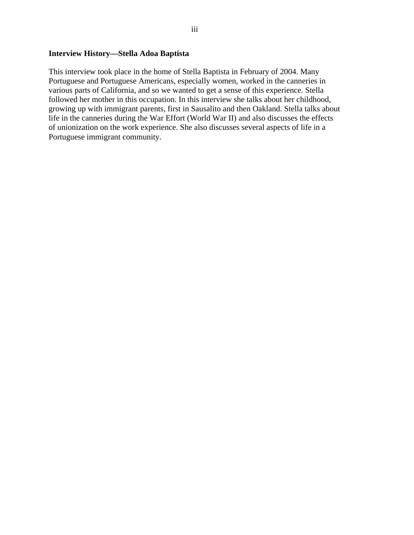### **Interview History—Stella Adoa Baptista**

This interview took place in the home of Stella Baptista in February of 2004. Many Portuguese and Portuguese Americans, especially women, worked in the canneries in various parts of California, and so we wanted to get a sense of this experience. Stella followed her mother in this occupation. In this interview she talks about her childhood, growing up with immigrant parents, first in Sausalito and then Oakland. Stella talks about life in the canneries during the War Effort (World War II) and also discusses the effects of unionization on the work experience. She also discusses several aspects of life in a Portuguese immigrant community.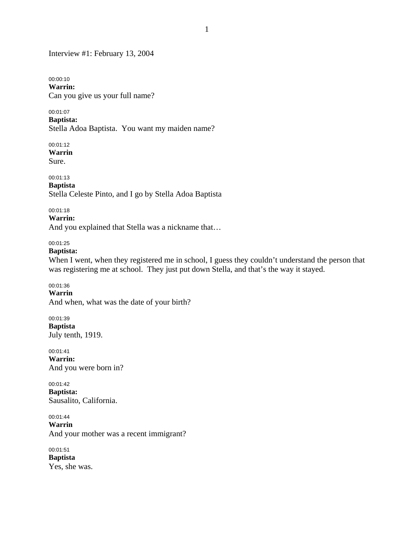Interview #1: February 13, 2004

00:00:10 **Warrin:**  Can you give us your full name?

00:01:07 **Baptista:**  Stella Adoa Baptista. You want my maiden name?

00:01:12 **Warrin**  Sure.

00:01:13 **Baptista**  Stella Celeste Pinto, and I go by Stella Adoa Baptista

00:01:18 **Warrin:** 

And you explained that Stella was a nickname that…

00:01:25

### **Baptista:**

When I went, when they registered me in school, I guess they couldn't understand the person that was registering me at school. They just put down Stella, and that's the way it stayed.

00:01:36

### **Warrin**

And when, what was the date of your birth?

00:01:39 **Baptista**  July tenth, 1919.

00:01:41 **Warrin:**  And you were born in?

00:01:42 **Baptista:**  Sausalito, California.

00:01:44 **Warrin**  And your mother was a recent immigrant?

00:01:51 **Baptista**  Yes, she was.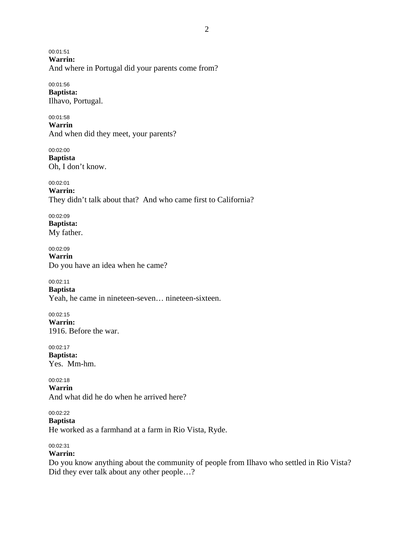00:01:51 **Warrin:**  And where in Portugal did your parents come from?

00:01:56 **Baptista:**  Ilhavo, Portugal.

00:01:58 **Warrin**  And when did they meet, your parents?

00:02:00 **Baptista**  Oh, I don't know.

00:02:01 **Warrin:**  They didn't talk about that? And who came first to California?

00:02:09 **Baptista:**  My father.

00:02:09 **Warrin**  Do you have an idea when he came?

00:02:11

**Baptista** 

Yeah, he came in nineteen-seven… nineteen-sixteen.

00:02:15 **Warrin:**  1916. Before the war.

00:02:17 **Baptista:**  Yes. Mm-hm.

00:02:18 **Warrin**  And what did he do when he arrived here?

00:02:22 **Baptista**  He worked as a farmhand at a farm in Rio Vista, Ryde.

00:02:31

**Warrin:** 

Do you know anything about the community of people from Ilhavo who settled in Rio Vista? Did they ever talk about any other people…?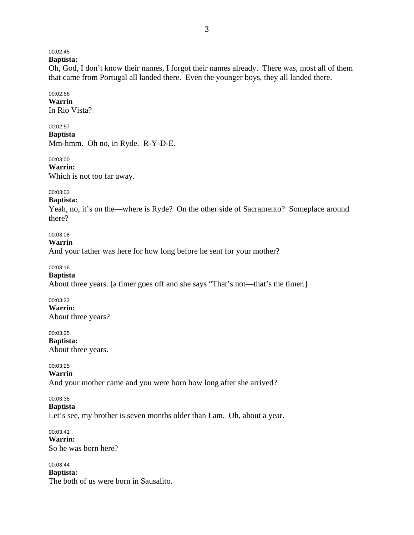# 00:02:45

**Baptista:** 

Oh, God, I don't know their names, I forgot their names already. There was, most all of them that came from Portugal all landed there. Even the younger boys, they all landed there.

00:02:56 **Warrin**  In Rio Vista?

#### 00:02:57

**Baptista**  Mm-hmm. Oh no, in Ryde. R-Y-D-E.

00:03:00 **Warrin:**  Which is not too far away.

#### 00:03:03

#### **Baptista:**

Yeah, no, it's on the—where is Ryde? On the other side of Sacramento? Someplace around there?

# 00:03:08

**Warrin** 

And your father was here for how long before he sent for your mother?

### 00:03:16

### **Baptista**

About three years. [a timer goes off and she says "That's not—that's the timer.]

#### 00:03:23

**Warrin:**  About three years?

#### 00:03:25

**Baptista:**  About three years.

#### 00:03:25

**Warrin** 

And your mother came and you were born how long after she arrived?

#### 00:03:35

#### **Baptista**

Let's see, my brother is seven months older than I am. Oh, about a year.

00:03:41 **Warrin:**  So he was born here?

#### 00:03:44

**Baptista:** 

The both of us were born in Sausalito.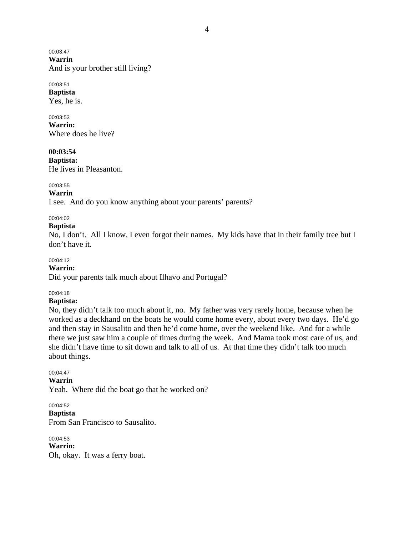00:03:47

**Warrin**  And is your brother still living?

00:03:51 **Baptista** 

Yes, he is.

00:03:53 **Warrin:**  Where does he live?

**00:03:54 Baptista:**  He lives in Pleasanton.

### 00:03:55

**Warrin** 

I see. And do you know anything about your parents' parents?

#### 00:04:02

#### **Baptista**

No, I don't. All I know, I even forgot their names. My kids have that in their family tree but I don't have it.

#### 00:04:12

#### **Warrin:**

Did your parents talk much about Ilhavo and Portugal?

### 00:04:18

### **Baptista:**

No, they didn't talk too much about it, no. My father was very rarely home, because when he worked as a deckhand on the boats he would come home every, about every two days. He'd go and then stay in Sausalito and then he'd come home, over the weekend like. And for a while there we just saw him a couple of times during the week. And Mama took most care of us, and she didn't have time to sit down and talk to all of us. At that time they didn't talk too much about things.

00:04:47 **Warrin** 

Yeah. Where did the boat go that he worked on?

00:04:52 **Baptista**  From San Francisco to Sausalito.

00:04:53 **Warrin:**  Oh, okay. It was a ferry boat.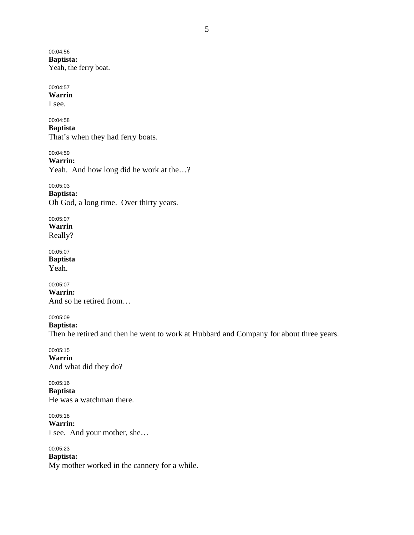00:04:56 **Baptista:**  Yeah, the ferry boat.

00:04:57

**Warrin**  I see.

00:04:58 **Baptista** 

That's when they had ferry boats.

00:04:59 **Warrin:** 

Yeah. And how long did he work at the…?

00:05:03 **Baptista:**  Oh God, a long time. Over thirty years.

00:05:07 **Warrin**  Really?

00:05:07 **Baptista**  Yeah.

00:05:07 **Warrin:**  And so he retired from…

00:05:09

**Baptista:**  Then he retired and then he went to work at Hubbard and Company for about three years.

00:05:15 **Warrin**  And what did they do?

00:05:16 **Baptista**  He was a watchman there.

00:05:18 **Warrin:**  I see. And your mother, she…

00:05:23 **Baptista:**  My mother worked in the cannery for a while.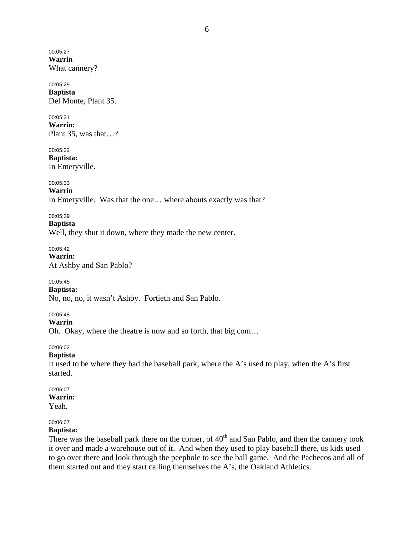00:05:27 **Warrin**  What cannery?

00:05:29 **Baptista**  Del Monte, Plant 35.

#### 00:05:31 **Warrin:**

Plant 35, was that…?

00:05:32 **Baptista:**  In Emeryville.

00:05:33

**Warrin**  In Emeryville. Was that the one… where abouts exactly was that?

00:05:39

### **Baptista**

Well, they shut it down, where they made the new center.

00:05:42 **Warrin:**  At Ashby and San Pablo?

00:05:45

### **Baptista:**

No, no, no, it wasn't Ashby. Fortieth and San Pablo.

### 00:05:48

#### **Warrin**

Oh. Okay, where the theatre is now and so forth, that big com…

00:06:02

### **Baptista**

It used to be where they had the baseball park, where the A's used to play, when the A's first started.

# 00:06:07

#### **Warrin:**  Yeah.

#### 00:06:07 **Baptista:**

There was the baseball park there on the corner, of  $40<sup>th</sup>$  and San Pablo, and then the cannery took it over and made a warehouse out of it. And when they used to play baseball there, us kids used to go over there and look through the peephole to see the ball game. And the Pachecos and all of them started out and they start calling themselves the A's, the Oakland Athletics.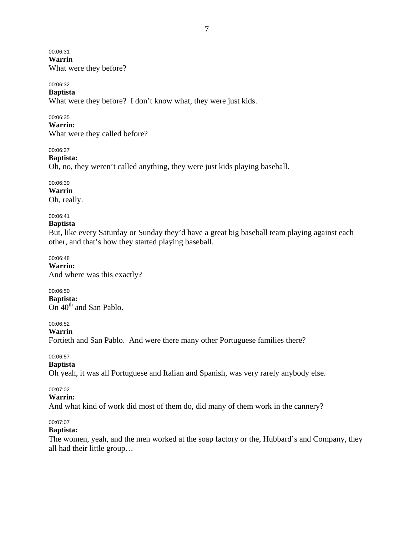00:06:31 **Warrin**  What were they before?

### 00:06:32

**Baptista**  What were they before? I don't know what, they were just kids.

### 00:06:35

**Warrin:**  What were they called before?

00:06:37

### **Baptista:**

Oh, no, they weren't called anything, they were just kids playing baseball.

00:06:39 **Warrin**  Oh, really.

### 00:06:41

### **Baptista**

But, like every Saturday or Sunday they'd have a great big baseball team playing against each other, and that's how they started playing baseball.

00:06:48 **Warrin:**  And where was this exactly?

00:06:50 **Baptista:**  On  $40<sup>th</sup>$  and San Pablo.

00:06:52

### **Warrin**

Fortieth and San Pablo. And were there many other Portuguese families there?

### 00:06:57

### **Baptista**

Oh yeah, it was all Portuguese and Italian and Spanish, was very rarely anybody else.

#### 00:07:02

### **Warrin:**

And what kind of work did most of them do, did many of them work in the cannery?

### 00:07:07

### **Baptista:**

The women, yeah, and the men worked at the soap factory or the, Hubbard's and Company, they all had their little group…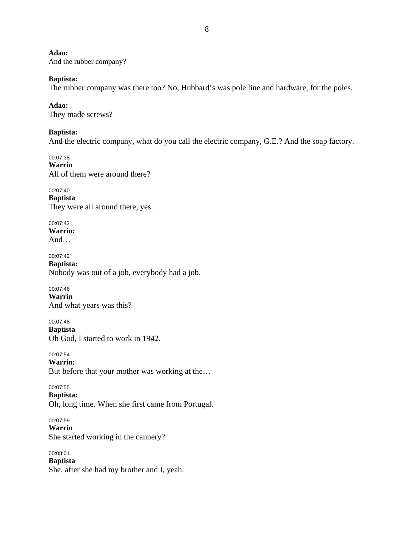#### **Adao:**

And the rubber company?

### **Baptista:**

The rubber company was there too? No, Hubbard's was pole line and hardware, for the poles.

#### **Adao:**

They made screws?

### **Baptista:**

And the electric company, what do you call the electric company, G.E.? And the soap factory.

00:07:38 **Warrin**  All of them were around there?

00:07:40 **Baptista**  They were all around there, yes.

00:07:42 **Warrin:**  And…

00:07:42 **Baptista:**  Nobody was out of a job, everybody had a job.

00:07:46 **Warrin**  And what years was this?

00:07:48 **Baptista**  Oh God, I started to work in 1942.

00:07:54 **Warrin:**  But before that your mother was working at the…

00:07:55

**Baptista:** 

Oh, long time. When she first came from Portugal.

00:07:59 **Warrin**  She started working in the cannery?

00:08:01 **Baptista**  She, after she had my brother and I, yeah.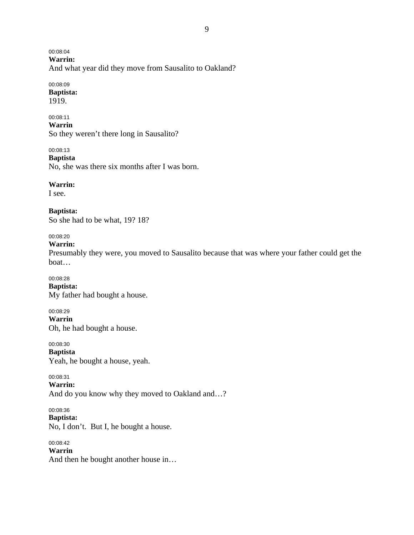00:08:04 **Warrin:**  And what year did they move from Sausalito to Oakland?

00:08:09 **Baptista:** 

1919.

00:08:11 **Warrin**  So they weren't there long in Sausalito?

00:08:13 **Baptista**  No, she was there six months after I was born.

**Warrin:**  I see.

**Baptista:**  So she had to be what, 19? 18?

00:08:20

**Warrin:** 

Presumably they were, you moved to Sausalito because that was where your father could get the boat…

00:08:28 **Baptista:**  My father had bought a house.

00:08:29 **Warrin**  Oh, he had bought a house.

00:08:30 **Baptista**  Yeah, he bought a house, yeah.

00:08:31 **Warrin:**  And do you know why they moved to Oakland and…?

00:08:36 **Baptista:**  No, I don't. But I, he bought a house.

00:08:42 **Warrin**  And then he bought another house in…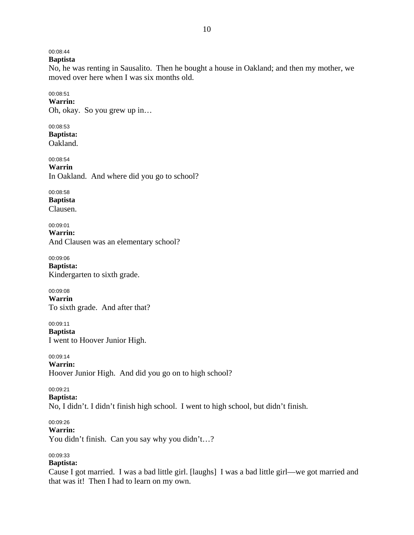### 00:08:44

**Baptista** 

No, he was renting in Sausalito. Then he bought a house in Oakland; and then my mother, we moved over here when I was six months old.

### 00:08:51

**Warrin:**  Oh, okay. So you grew up in…

00:08:53 **Baptista:**  Oakland.

00:08:54 **Warrin**  In Oakland. And where did you go to school?

00:08:58 **Baptista**  Clausen.

00:09:01 **Warrin:**  And Clausen was an elementary school?

00:09:06 **Baptista:**  Kindergarten to sixth grade.

00:09:08 **Warrin**  To sixth grade. And after that?

00:09:11 **Baptista**  I went to Hoover Junior High.

00:09:14 **Warrin:**  Hoover Junior High. And did you go on to high school?

00:09:21 **Baptista:**  No, I didn't. I didn't finish high school. I went to high school, but didn't finish.

00:09:26 **Warrin:** 

You didn't finish. Can you say why you didn't...?

00:09:33

### **Baptista:**

Cause I got married. I was a bad little girl. [laughs] I was a bad little girl—we got married and that was it! Then I had to learn on my own.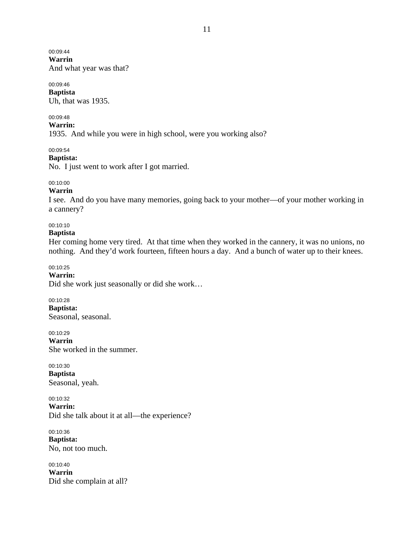#### 00:09:44 **Warrin**

And what year was that?

### 00:09:46

**Baptista**  Uh, that was 1935.

### 00:09:48

**Warrin:** 

1935. And while you were in high school, were you working also?

### 00:09:54

### **Baptista:**

No. I just went to work after I got married.

# 00:10:00

### **Warrin**

I see. And do you have many memories, going back to your mother—of your mother working in a cannery?

### 00:10:10

### **Baptista**

Her coming home very tired. At that time when they worked in the cannery, it was no unions, no nothing. And they'd work fourteen, fifteen hours a day. And a bunch of water up to their knees.

### 00:10:25

### **Warrin:**

Did she work just seasonally or did she work…

### 00:10:28

**Baptista:**  Seasonal, seasonal.

### 00:10:29

**Warrin**  She worked in the summer.

#### 00:10:30 **Baptista**

Seasonal, yeah.

### 00:10:32

**Warrin:**  Did she talk about it at all—the experience?

#### 00:10:36 **Baptista:**

No, not too much.

# 00:10:40

**Warrin**  Did she complain at all?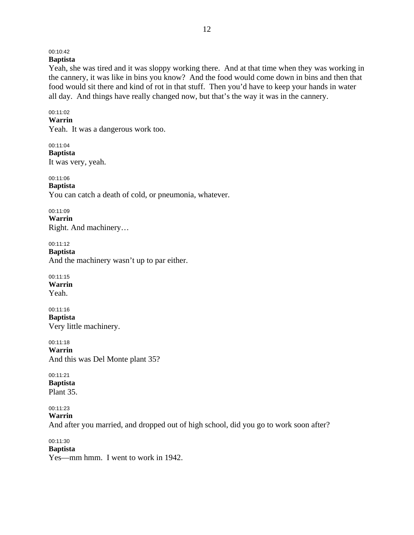# 00:10:42

# **Baptista**

Yeah, she was tired and it was sloppy working there. And at that time when they was working in the cannery, it was like in bins you know? And the food would come down in bins and then that food would sit there and kind of rot in that stuff. Then you'd have to keep your hands in water all day. And things have really changed now, but that's the way it was in the cannery.

## 00:11:02

#### **Warrin**

Yeah. It was a dangerous work too.

00:11:04 **Baptista**  It was very, yeah.

00:11:06 **Baptista**  You can catch a death of cold, or pneumonia, whatever.

00:11:09 **Warrin**  Right. And machinery…

00:11:12 **Baptista**  And the machinery wasn't up to par either.

00:11:15 **Warrin** 

Yeah.

00:11:16 **Baptista**  Very little machinery.

00:11:18 **Warrin**  And this was Del Monte plant 35?

00:11:21 **Baptista**  Plant 35.

00:11:23

**Warrin** 

And after you married, and dropped out of high school, did you go to work soon after?

00:11:30 **Baptista**  Yes—mm hmm. I went to work in 1942.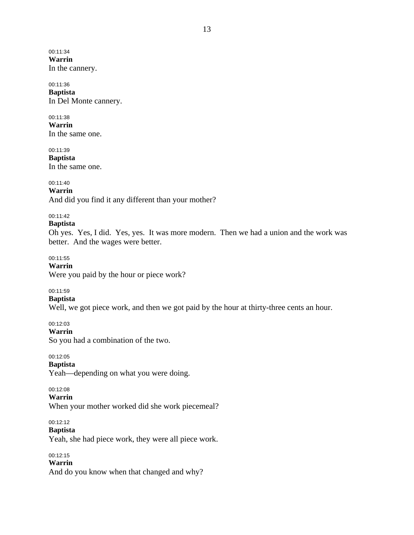00:11:34 **Warrin**  In the cannery.

00:11:36 **Baptista**  In Del Monte cannery.

00:11:38 **Warrin**  In the same one.

00:11:39 **Baptista**  In the same one.

00:11:40 **Warrin**  And did you find it any different than your mother?

### 00:11:42

### **Baptista**

Oh yes. Yes, I did. Yes, yes. It was more modern. Then we had a union and the work was better. And the wages were better.

00:11:55

**Warrin** 

Were you paid by the hour or piece work?

### 00:11:59

**Baptista** 

Well, we got piece work, and then we got paid by the hour at thirty-three cents an hour.

00:12:03

**Warrin**  So you had a combination of the two.

00:12:05

**Baptista** 

Yeah—depending on what you were doing.

00:12:08

**Warrin** 

When your mother worked did she work piecemeal?

00:12:12

**Baptista** 

Yeah, she had piece work, they were all piece work.

00:12:15

**Warrin** 

And do you know when that changed and why?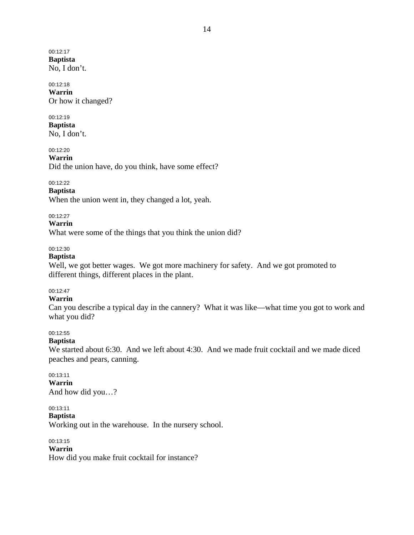00:12:17 **Baptista**  No, I don't.

#### 00:12:18 **Warrin**  Or how it changed?

# 00:12:19

**Baptista**  No, I don't.

00:12:20

**Warrin** 

Did the union have, do you think, have some effect?

### 00:12:22

**Baptista** 

When the union went in, they changed a lot, yeah.

### 00:12:27

### **Warrin**

What were some of the things that you think the union did?

### 00:12:30

## **Baptista**

Well, we got better wages. We got more machinery for safety. And we got promoted to different things, different places in the plant.

### 00:12:47

#### **Warrin**

Can you describe a typical day in the cannery? What it was like—what time you got to work and what you did?

### 00:12:55

### **Baptista**

We started about 6:30. And we left about 4:30. And we made fruit cocktail and we made diced peaches and pears, canning.

## 00:13:11

**Warrin**  And how did you…?

00:13:11 **Baptista**  Working out in the warehouse. In the nursery school.

00:13:15 **Warrin**  How did you make fruit cocktail for instance?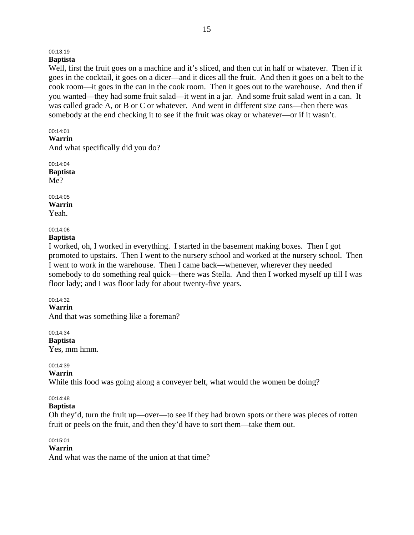# 00:13:19

# **Baptista**

Well, first the fruit goes on a machine and it's sliced, and then cut in half or whatever. Then if it goes in the cocktail, it goes on a dicer—and it dices all the fruit. And then it goes on a belt to the cook room—it goes in the can in the cook room. Then it goes out to the warehouse. And then if you wanted—they had some fruit salad—it went in a jar. And some fruit salad went in a can. It was called grade A, or B or C or whatever. And went in different size cans—then there was somebody at the end checking it to see if the fruit was okay or whatever—or if it wasn't.

#### 00:14:01

#### **Warrin**

And what specifically did you do?

00:14:04 **Baptista**  Me?

00:14:05 **Warrin**  Yeah.

# 00:14:06

# **Baptista**

I worked, oh, I worked in everything. I started in the basement making boxes. Then I got promoted to upstairs. Then I went to the nursery school and worked at the nursery school. Then I went to work in the warehouse. Then I came back—whenever, wherever they needed somebody to do something real quick—there was Stella. And then I worked myself up till I was floor lady; and I was floor lady for about twenty-five years.

### 00:14:32

**Warrin** 

And that was something like a foreman?

00:14:34 **Baptista** 

Yes, mm hmm.

### 00:14:39

#### **Warrin**

While this food was going along a conveyer belt, what would the women be doing?

### 00:14:48

### **Baptista**

Oh they'd, turn the fruit up—over—to see if they had brown spots or there was pieces of rotten fruit or peels on the fruit, and then they'd have to sort them—take them out.

#### 00:15:01

### **Warrin**

And what was the name of the union at that time?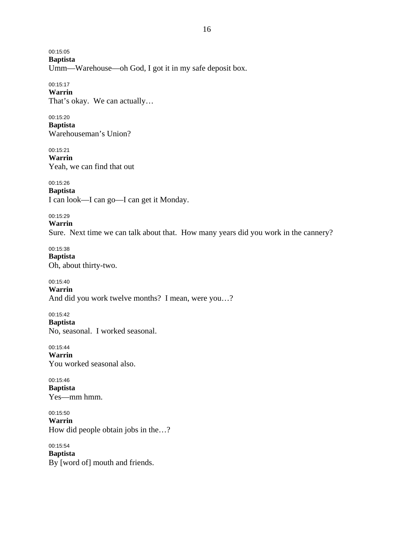00:15:05 **Baptista**  Umm—Warehouse—oh God, I got it in my safe deposit box.

00:15:17 **Warrin**  That's okay. We can actually…

00:15:20 **Baptista**  Warehouseman's Union?

00:15:21 **Warrin**  Yeah, we can find that out

00:15:26 **Baptista**  I can look—I can go—I can get it Monday.

00:15:29 **Warrin**  Sure. Next time we can talk about that. How many years did you work in the cannery?

00:15:38 **Baptista**  Oh, about thirty-two.

00:15:40 **Warrin**  And did you work twelve months? I mean, were you…?

00:15:42 **Baptista**  No, seasonal. I worked seasonal.

00:15:44 **Warrin**  You worked seasonal also.

00:15:46 **Baptista**  Yes—mm hmm.

00:15:50 **Warrin**  How did people obtain jobs in the…?

00:15:54 **Baptista**  By [word of] mouth and friends.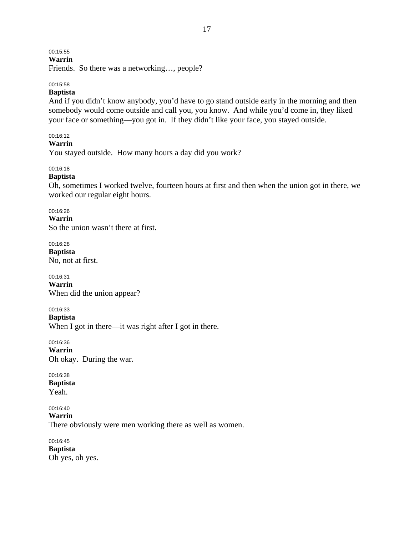### 00:15:55

### **Warrin**

Friends. So there was a networking…, people?

### 00:15:58

### **Baptista**

And if you didn't know anybody, you'd have to go stand outside early in the morning and then somebody would come outside and call you, you know. And while you'd come in, they liked your face or something—you got in. If they didn't like your face, you stayed outside.

### 00:16:12

### **Warrin**

You stayed outside. How many hours a day did you work?

### 00:16:18

#### **Baptista**

Oh, sometimes I worked twelve, fourteen hours at first and then when the union got in there, we worked our regular eight hours.

#### 00:16:26

**Warrin** 

So the union wasn't there at first.

00:16:28 **Baptista** 

No, not at first.

00:16:31 **Warrin**  When did the union appear?

00:16:33

**Baptista** 

When I got in there—it was right after I got in there.

00:16:36 **Warrin**  Oh okay. During the war.

00:16:38 **Baptista**  Yeah.

00:16:40 **Warrin**  There obviously were men working there as well as women.

00:16:45 **Baptista**  Oh yes, oh yes.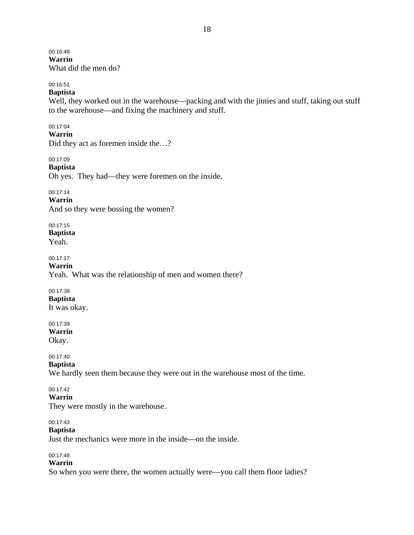00:16:48 **Warrin**  What did the men do?

#### 00:16:51

#### **Baptista**

Well, they worked out in the warehouse—packing and with the jitnies and stuff, taking out stuff to the warehouse—and fixing the machinery and stuff.

#### 00:17:04

### **Warrin**

Did they act as foremen inside the…?

#### 00:17:09

**Baptista**  Oh yes. They had—they were foremen on the inside.

00:17:14

**Warrin** 

And so they were bossing the women?

00:17:15 **Baptista**  Yeah.

00:17:17 **Warrin** 

Yeah. What was the relationship of men and women there?

### 00:17:38

**Baptista** 

It was okay.

#### 00:17:39 **Warrin**

Okay.

# 00:17:40

**Baptista** 

We hardly seen them because they were out in the warehouse most of the time.

#### 00:17:42

**Warrin** 

They were mostly in the warehouse.

### 00:17:43

### **Baptista**

Just the mechanics were more in the inside—on the inside.

#### 00:17:48

### **Warrin**

So when you were there, the women actually were—you call them floor ladies?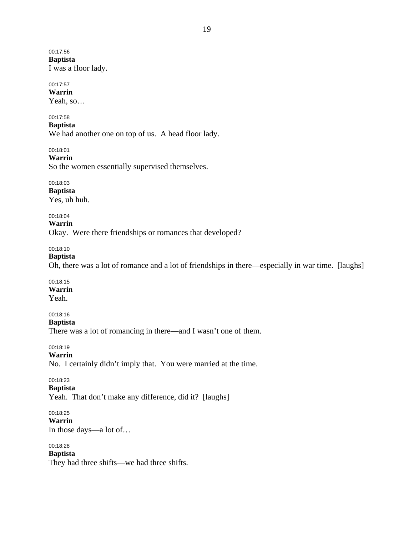00:17:56 **Baptista**  I was a floor lady.

# 00:17:57 **Warrin**

Yeah, so…

# 00:17:58

**Baptista** 

We had another one on top of us. A head floor lady.

00:18:01

### **Warrin**

So the women essentially supervised themselves.

00:18:03

**Baptista**  Yes, uh huh.

00:18:04

### **Warrin**

Okay. Were there friendships or romances that developed?

# 00:18:10

**Baptista**  Oh, there was a lot of romance and a lot of friendships in there—especially in war time. [laughs]

### 00:18:15

### **Warrin**

Yeah.

# 00:18:16

**Baptista**  There was a lot of romancing in there—and I wasn't one of them.

00:18:19 **Warrin** 

No. I certainly didn't imply that. You were married at the time.

# 00:18:23

### **Baptista**

Yeah. That don't make any difference, did it? [laughs]

# 00:18:25

**Warrin**  In those days—a lot of…

# 00:18:28

**Baptista**  They had three shifts—we had three shifts.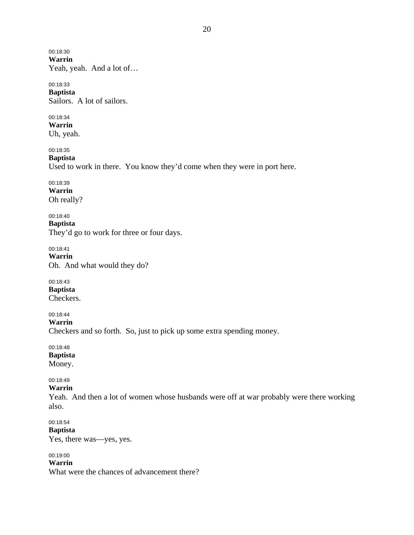00:18:30 **Warrin**  Yeah, yeah. And a lot of…

00:18:33 **Baptista**  Sailors. A lot of sailors.

00:18:34 **Warrin** 

Uh, yeah.

00:18:35 **Baptista**  Used to work in there. You know they'd come when they were in port here.

00:18:39 **Warrin**  Oh really?

00:18:40 **Baptista**  They'd go to work for three or four days.

00:18:41 **Warrin**  Oh. And what would they do?

00:18:43 **Baptista**  Checkers.

00:18:44

**Warrin** 

Checkers and so forth. So, just to pick up some extra spending money.

00:18:48 **Baptista**  Money.

00:18:49 **Warrin** 

Yeah. And then a lot of women whose husbands were off at war probably were there working also.

00:18:54 **Baptista**  Yes, there was—yes, yes.

00:19:00 **Warrin**  What were the chances of advancement there?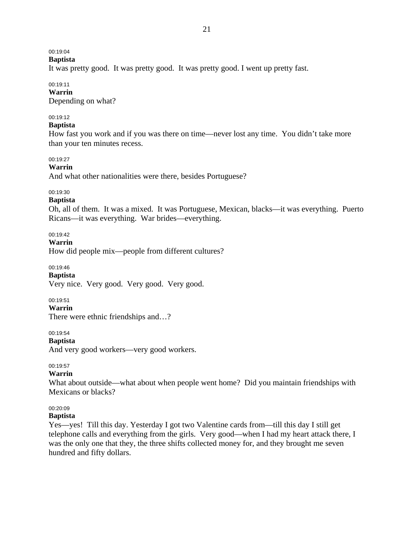# 00:19:04

**Baptista** 

It was pretty good. It was pretty good. It was pretty good. I went up pretty fast.

#### 00:19:11

**Warrin**  Depending on what?

### 00:19:12

#### **Baptista**

How fast you work and if you was there on time—never lost any time. You didn't take more than your ten minutes recess.

### 00:19:27

**Warrin** 

And what other nationalities were there, besides Portuguese?

### 00:19:30

### **Baptista**

Oh, all of them. It was a mixed. It was Portuguese, Mexican, blacks—it was everything. Puerto Ricans—it was everything. War brides—everything.

### 00:19:42

**Warrin** 

How did people mix—people from different cultures?

00:19:46

## **Baptista**

Very nice. Very good. Very good. Very good.

00:19:51

# **Warrin**

There were ethnic friendships and...?

### 00:19:54

**Baptista** 

And very good workers—very good workers.

### 00:19:57

### **Warrin**

What about outside—what about when people went home? Did you maintain friendships with Mexicans or blacks?

### 00:20:09

### **Baptista**

Yes—yes! Till this day. Yesterday I got two Valentine cards from—till this day I still get telephone calls and everything from the girls. Very good—when I had my heart attack there, I was the only one that they, the three shifts collected money for, and they brought me seven hundred and fifty dollars.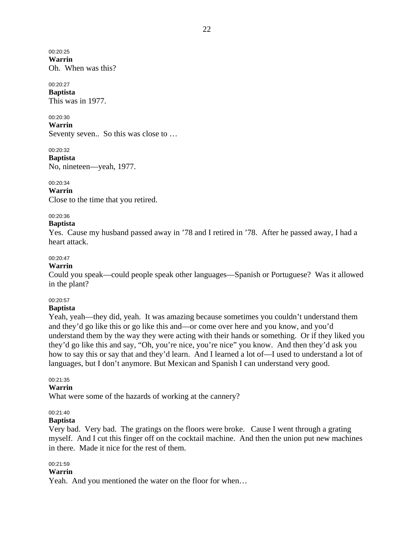00:20:25

**Warrin**  Oh. When was this?

### 00:20:27

**Baptista**  This was in 1977.

00:20:30

**Warrin** 

Seventy seven.. So this was close to …

00:20:32 **Baptista**  No, nineteen—yeah, 1977.

### 00:20:34

**Warrin**  Close to the time that you retired.

### 00:20:36

### **Baptista**

Yes. Cause my husband passed away in '78 and I retired in '78. After he passed away, I had a heart attack.

### 00:20:47

### **Warrin**

Could you speak—could people speak other languages—Spanish or Portuguese? Was it allowed in the plant?

### 00:20:57

### **Baptista**

Yeah, yeah—they did, yeah. It was amazing because sometimes you couldn't understand them and they'd go like this or go like this and—or come over here and you know, and you'd understand them by the way they were acting with their hands or something. Or if they liked you they'd go like this and say, "Oh, you're nice, you're nice" you know. And then they'd ask you how to say this or say that and they'd learn. And I learned a lot of—I used to understand a lot of languages, but I don't anymore. But Mexican and Spanish I can understand very good.

### 00:21:35

### **Warrin**

What were some of the hazards of working at the cannery?

### 00:21:40

### **Baptista**

Very bad. Very bad. The gratings on the floors were broke. Cause I went through a grating myself. And I cut this finger off on the cocktail machine. And then the union put new machines in there. Made it nice for the rest of them.

### 00:21:59

### **Warrin**

Yeah. And you mentioned the water on the floor for when…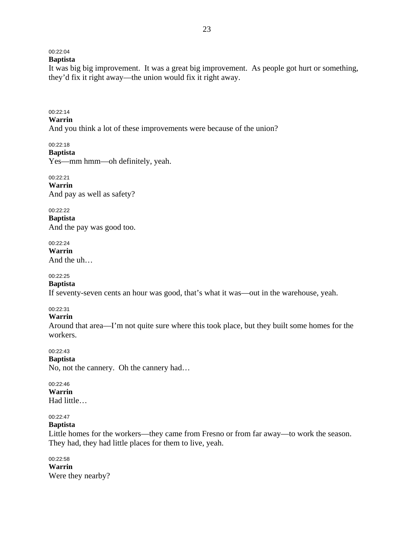### 00:22:04

**Baptista** 

It was big big improvement. It was a great big improvement. As people got hurt or something, they'd fix it right away—the union would fix it right away.

# 00:22:14

### **Warrin**

And you think a lot of these improvements were because of the union?

### 00:22:18

**Baptista** 

Yes—mm hmm—oh definitely, yeah.

00:22:21 **Warrin**  And pay as well as safety?

00:22:22 **Baptista**  And the pay was good too.

00:22:24 **Warrin**  And the uh…

#### 00:22:25

#### **Baptista**

If seventy-seven cents an hour was good, that's what it was—out in the warehouse, yeah.

#### 00:22:31

#### **Warrin**

Around that area—I'm not quite sure where this took place, but they built some homes for the workers.

#### 00:22:43

**Baptista** 

No, not the cannery. Oh the cannery had…

00:22:46 **Warrin**  Had little…

#### 00:22:47

#### **Baptista**

Little homes for the workers—they came from Fresno or from far away—to work the season. They had, they had little places for them to live, yeah.

00:22:58 **Warrin**  Were they nearby?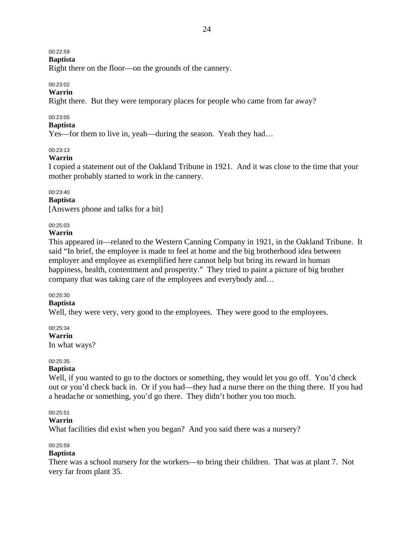### 00:22:59

**Baptista** 

Right there on the floor—on the grounds of the cannery.

#### 00:23:02

### **Warrin**

Right there. But they were temporary places for people who came from far away?

### 00:23:05

### **Baptista**

Yes—for them to live in, yeah—during the season. Yeah they had…

### 00:23:13

#### **Warrin**

I copied a statement out of the Oakland Tribune in 1921. And it was close to the time that your mother probably started to work in the cannery.

#### 00:23:40

### **Baptista**

[Answers phone and talks for a bit]

### 00:25:03

### **Warrin**

This appeared in—related to the Western Canning Company in 1921, in the Oakland Tribune. It said "In brief, the employee is made to feel at home and the big brotherhood idea between employer and employee as exemplified here cannot help but bring its reward in human happiness, health, contentment and prosperity." They tried to paint a picture of big brother company that was taking care of the employees and everybody and…

### 00:25:30

#### **Baptista**

Well, they were very, very good to the employees. They were good to the employees.

00:25:34 **Warrin** 

In what ways?

### 00:25:35

#### **Baptista**

Well, if you wanted to go to the doctors or something, they would let you go off. You'd check out or you'd check back in. Or if you had—they had a nurse there on the thing there. If you had a headache or something, you'd go there. They didn't bother you too much.

### 00:25:51

#### **Warrin**

What facilities did exist when you began? And you said there was a nursery?

### 00:25:59

### **Baptista**

There was a school nursery for the workers—to bring their children. That was at plant 7. Not very far from plant 35.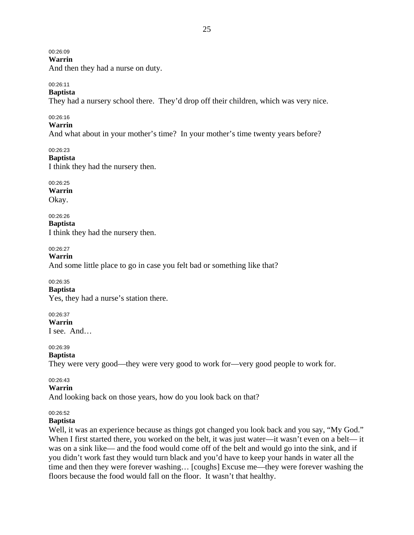00:26:09

**Warrin** 

And then they had a nurse on duty.

#### 00:26:11

### **Baptista**

They had a nursery school there. They'd drop off their children, which was very nice.

#### 00:26:16

### **Warrin**

And what about in your mother's time? In your mother's time twenty years before?

00:26:23

#### **Baptista**

I think they had the nursery then.

00:26:25 **Warrin** 

Okay.

00:26:26 **Baptista**  I think they had the nursery then.

00:26:27

**Warrin**  And some little place to go in case you felt bad or something like that?

#### 00:26:35

### **Baptista**

Yes, they had a nurse's station there.

00:26:37

**Warrin** 

I see. And…

00:26:39

**Baptista** 

They were very good—they were very good to work for—very good people to work for.

### 00:26:43

#### **Warrin**

And looking back on those years, how do you look back on that?

#### 00:26:52

#### **Baptista**

Well, it was an experience because as things got changed you look back and you say, "My God." When I first started there, you worked on the belt, it was just water—it wasn't even on a belt— it was on a sink like— and the food would come off of the belt and would go into the sink, and if you didn't work fast they would turn black and you'd have to keep your hands in water all the time and then they were forever washing… [coughs] Excuse me—they were forever washing the floors because the food would fall on the floor. It wasn't that healthy.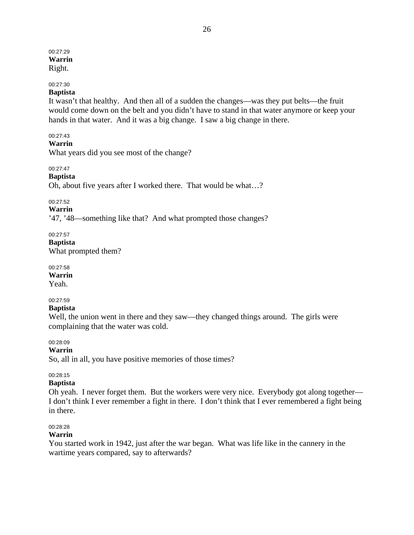#### 00:27:29 **Warrin**  Right.

### 00:27:30

#### **Baptista**

It wasn't that healthy. And then all of a sudden the changes—was they put belts—the fruit would come down on the belt and you didn't have to stand in that water anymore or keep your hands in that water. And it was a big change. I saw a big change in there.

### 00:27:43

#### **Warrin**

What years did you see most of the change?

### 00:27:47

#### **Baptista**

Oh, about five years after I worked there. That would be what…?

### 00:27:52

**Warrin** 

'47, '48—something like that? And what prompted those changes?

# 00:27:57

**Baptista**  What prompted them?

### 00:27:58

**Warrin** 

Yeah.

### 00:27:59

### **Baptista**

Well, the union went in there and they saw—they changed things around. The girls were complaining that the water was cold.

### 00:28:09

#### **Warrin**

So, all in all, you have positive memories of those times?

### 00:28:15

### **Baptista**

Oh yeah. I never forget them. But the workers were very nice. Everybody got along together— I don't think I ever remember a fight in there. I don't think that I ever remembered a fight being in there.

### 00:28:28

### **Warrin**

You started work in 1942, just after the war began. What was life like in the cannery in the wartime years compared, say to afterwards?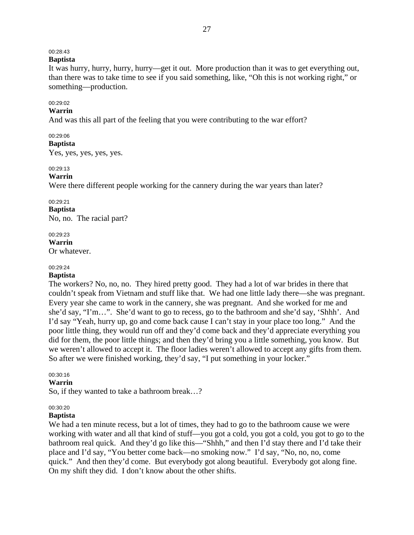# 00:28:43

### **Baptista**

It was hurry, hurry, hurry, hurry—get it out. More production than it was to get everything out, than there was to take time to see if you said something, like, "Oh this is not working right," or something—production.

#### 00:29:02

#### **Warrin**

And was this all part of the feeling that you were contributing to the war effort?

#### 00:29:06

**Baptista** 

Yes, yes, yes, yes, yes.

#### 00:29:13

### **Warrin**

Were there different people working for the cannery during the war years than later?

### 00:29:21

**Baptista**  No, no. The racial part?

### 00:29:23

**Warrin**  Or whatever.

# 00:29:24

#### **Baptista**

The workers? No, no, no. They hired pretty good. They had a lot of war brides in there that couldn't speak from Vietnam and stuff like that. We had one little lady there—she was pregnant. Every year she came to work in the cannery, she was pregnant. And she worked for me and she'd say, "I'm…". She'd want to go to recess, go to the bathroom and she'd say, 'Shhh'. And I'd say "Yeah, hurry up, go and come back cause I can't stay in your place too long." And the poor little thing, they would run off and they'd come back and they'd appreciate everything you did for them, the poor little things; and then they'd bring you a little something, you know. But we weren't allowed to accept it. The floor ladies weren't allowed to accept any gifts from them. So after we were finished working, they'd say, "I put something in your locker."

#### 00:30:16

### **Warrin**

So, if they wanted to take a bathroom break…?

### 00:30:20

#### **Baptista**

We had a ten minute recess, but a lot of times, they had to go to the bathroom cause we were working with water and all that kind of stuff—you got a cold, you got a cold, you got to go to the bathroom real quick. And they'd go like this—"Shhh," and then I'd stay there and I'd take their place and I'd say, "You better come back—no smoking now." I'd say, "No, no, no, come quick." And then they'd come. But everybody got along beautiful. Everybody got along fine. On my shift they did. I don't know about the other shifts.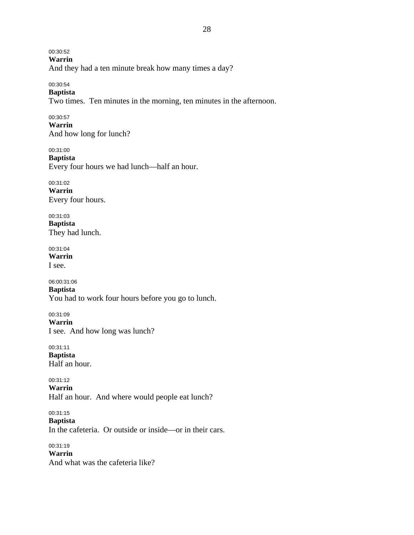00:30:52 **Warrin**  And they had a ten minute break how many times a day?

00:30:54

**Baptista** 

Two times. Ten minutes in the morning, ten minutes in the afternoon.

00:30:57 **Warrin**  And how long for lunch?

00:31:00 **Baptista**  Every four hours we had lunch—half an hour.

00:31:02 **Warrin**  Every four hours.

00:31:03 **Baptista**  They had lunch.

00:31:04 **Warrin** 

I see.

06:00:31:06

**Baptista**  You had to work four hours before you go to lunch.

00:31:09 **Warrin**  I see. And how long was lunch?

00:31:11 **Baptista**  Half an hour.

00:31:12 **Warrin**  Half an hour. And where would people eat lunch?

00:31:15 **Baptista**  In the cafeteria. Or outside or inside—or in their cars.

00:31:19 **Warrin**  And what was the cafeteria like?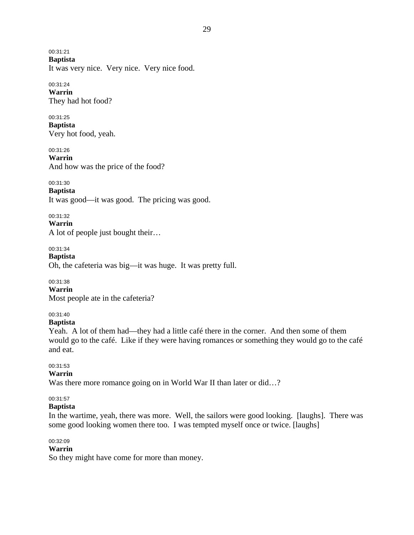00:31:21 **Baptista** 

It was very nice. Very nice. Very nice food.

00:31:24 **Warrin**  They had hot food?

00:31:25 **Baptista**  Very hot food, yeah.

00:31:26 **Warrin**  And how was the price of the food?

00:31:30 **Baptista**  It was good—it was good. The pricing was good.

00:31:32 **Warrin**  A lot of people just bought their…

00:31:34 **Baptista**  Oh, the cafeteria was big—it was huge. It was pretty full.

00:31:38 **Warrin**  Most people ate in the cafeteria?

# 00:31:40

### **Baptista**

Yeah. A lot of them had—they had a little café there in the corner. And then some of them would go to the café. Like if they were having romances or something they would go to the café and eat.

### 00:31:53

### **Warrin**

Was there more romance going on in World War II than later or did...?

00:31:57

### **Baptista**

In the wartime, yeah, there was more. Well, the sailors were good looking. [laughs]. There was some good looking women there too. I was tempted myself once or twice. [laughs]

00:32:09

### **Warrin**

So they might have come for more than money.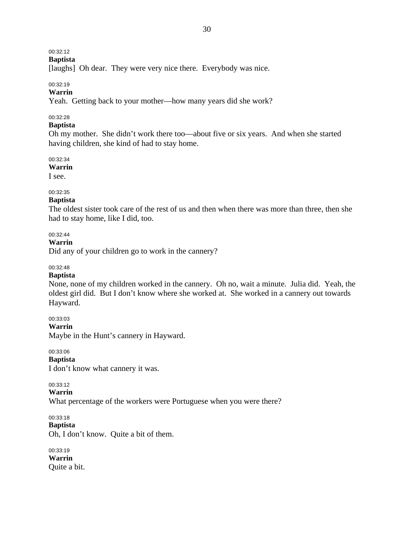### 00:32:12

**Baptista** 

[laughs] Oh dear. They were very nice there. Everybody was nice.

### 00:32:19

### **Warrin**

Yeah. Getting back to your mother—how many years did she work?

### 00:32:28

### **Baptista**

Oh my mother. She didn't work there too—about five or six years. And when she started having children, she kind of had to stay home.

00:32:34

**Warrin** 

I see.

#### 00:32:35

#### **Baptista**

The oldest sister took care of the rest of us and then when there was more than three, then she had to stay home, like I did, too.

### 00:32:44

#### **Warrin**

Did any of your children go to work in the cannery?

#### 00:32:48

### **Baptista**

None, none of my children worked in the cannery. Oh no, wait a minute. Julia did. Yeah, the oldest girl did. But I don't know where she worked at. She worked in a cannery out towards Hayward.

00:33:03

**Warrin** 

Maybe in the Hunt's cannery in Hayward.

00:33:06

**Baptista** 

I don't know what cannery it was.

00:33:12

### **Warrin**

What percentage of the workers were Portuguese when you were there?

00:33:18 **Baptista**  Oh, I don't know. Quite a bit of them.

00:33:19 **Warrin**  Quite a bit.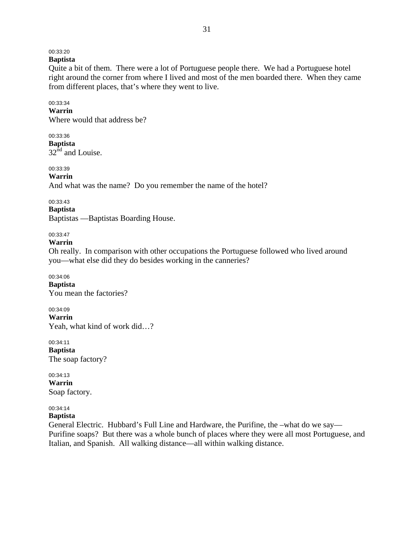### 00:33:20

# **Baptista**

Quite a bit of them. There were a lot of Portuguese people there. We had a Portuguese hotel right around the corner from where I lived and most of the men boarded there. When they came from different places, that's where they went to live.

#### 00:33:34

### **Warrin**

Where would that address be?

00:33:36 **Baptista**   $32^{\text{nd}}$  and Louise.

00:33:39

**Warrin** 

And what was the name? Do you remember the name of the hotel?

### 00:33:43

**Baptista** 

Baptistas —Baptistas Boarding House.

### 00:33:47

**Warrin** 

Oh really. In comparison with other occupations the Portuguese followed who lived around you—what else did they do besides working in the canneries?

00:34:06 **Baptista**  You mean the factories?

00:34:09 **Warrin**  Yeah, what kind of work did…?

00:34:11 **Baptista**  The soap factory?

00:34:13 **Warrin**  Soap factory.

00:34:14

# **Baptista**

General Electric. Hubbard's Full Line and Hardware, the Purifine, the –what do we say— Purifine soaps? But there was a whole bunch of places where they were all most Portuguese, and Italian, and Spanish. All walking distance—all within walking distance.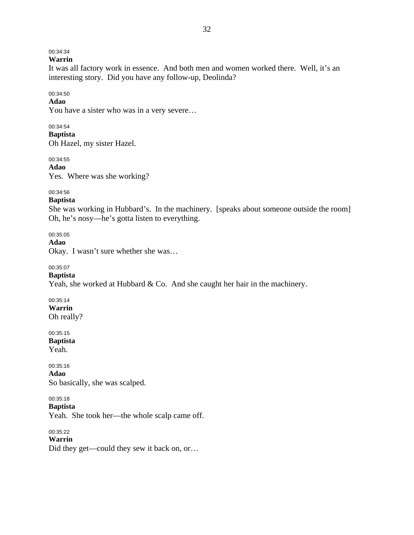# 00:34:34

**Warrin** 

It was all factory work in essence. And both men and women worked there. Well, it's an interesting story. Did you have any follow-up, Deolinda?

### 00:34:50

# **Adao**

You have a sister who was in a very severe…

# 00:34:54

**Baptista**  Oh Hazel, my sister Hazel.

00:34:55 **Adao** 

Yes. Where was she working?

### 00:34:56

### **Baptista**

She was working in Hubbard's. In the machinery. [speaks about someone outside the room] Oh, he's nosy—he's gotta listen to everything.

00:35:05

**Adao** 

Okay. I wasn't sure whether she was…

# 00:35:07

**Baptista** 

Yeah, she worked at Hubbard & Co. And she caught her hair in the machinery.

# 00:35:14

**Warrin**  Oh really?

# 00:35:15

**Baptista**  Yeah.

00:35:16 **Adao**  So basically, she was scalped.

### 00:35:18

**Baptista** 

Yeah. She took her—the whole scalp came off.

00:35:22

**Warrin**  Did they get—could they sew it back on, or…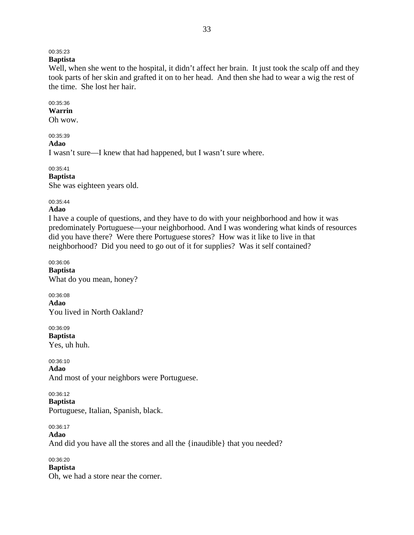### 00:35:23

# **Baptista**

Well, when she went to the hospital, it didn't affect her brain. It just took the scalp off and they took parts of her skin and grafted it on to her head. And then she had to wear a wig the rest of the time. She lost her hair.

#### 00:35:36

### **Warrin**

Oh wow.

### 00:35:39

#### **Adao**

I wasn't sure—I knew that had happened, but I wasn't sure where.

### 00:35:41

**Baptista**  She was eighteen years old.

### 00:35:44

### **Adao**

I have a couple of questions, and they have to do with your neighborhood and how it was predominately Portuguese—your neighborhood. And I was wondering what kinds of resources did you have there? Were there Portuguese stores? How was it like to live in that neighborhood? Did you need to go out of it for supplies? Was it self contained?

00:36:06 **Baptista**  What do you mean, honey?

00:36:08 **Adao**  You lived in North Oakland?

00:36:09 **Baptista**  Yes, uh huh.

00:36:10 **Adao**  And most of your neighbors were Portuguese.

00:36:12 **Baptista**  Portuguese, Italian, Spanish, black.

00:36:17 **Adao**  And did you have all the stores and all the {inaudible} that you needed?

### 00:36:20

### **Baptista**

Oh, we had a store near the corner.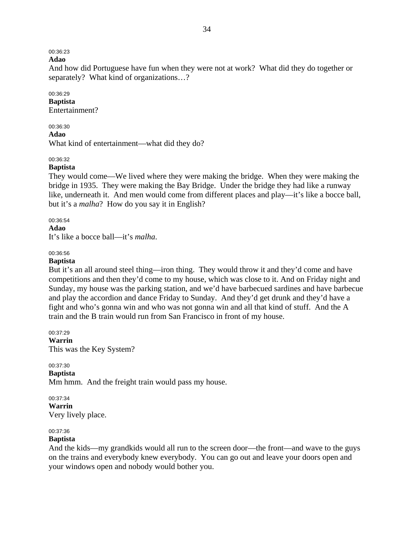### 00:36:23

**Adao** 

And how did Portuguese have fun when they were not at work? What did they do together or separately? What kind of organizations…?

#### 00:36:29 **Baptista**  Entertainment?

00:36:30 **Adao**  What kind of entertainment—what did they do?

00:36:32

**Baptista** 

They would come—We lived where they were making the bridge. When they were making the bridge in 1935. They were making the Bay Bridge. Under the bridge they had like a runway like, underneath it. And men would come from different places and play—it's like a bocce ball, but it's a *malha*? How do you say it in English?

#### 00:36:54

### **Adao**

It's like a bocce ball—it's *malha*.

#### 00:36:56

### **Baptista**

But it's an all around steel thing—iron thing. They would throw it and they'd come and have competitions and then they'd come to my house, which was close to it. And on Friday night and Sunday, my house was the parking station, and we'd have barbecued sardines and have barbecue and play the accordion and dance Friday to Sunday. And they'd get drunk and they'd have a fight and who's gonna win and who was not gonna win and all that kind of stuff. And the A train and the B train would run from San Francisco in front of my house.

00:37:29 **Warrin**  This was the Key System?

00:37:30 **Baptista** 

Mm hmm. And the freight train would pass my house.

### 00:37:34

**Warrin** 

Very lively place.

### 00:37:36

### **Baptista**

And the kids—my grandkids would all run to the screen door—the front—and wave to the guys on the trains and everybody knew everybody. You can go out and leave your doors open and your windows open and nobody would bother you.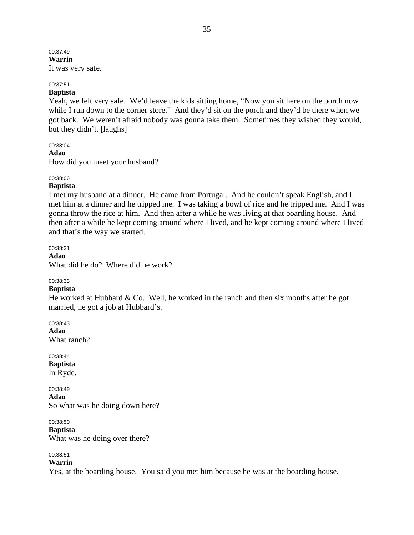## 00:37:49 **Warrin**

It was very safe.

### 00:37:51

### **Baptista**

Yeah, we felt very safe. We'd leave the kids sitting home, "Now you sit here on the porch now while I run down to the corner store." And they'd sit on the porch and they'd be there when we got back. We weren't afraid nobody was gonna take them. Sometimes they wished they would, but they didn't. [laughs]

### 00:38:04

**Adao** 

How did you meet your husband?

# 00:38:06

### **Baptista**

I met my husband at a dinner. He came from Portugal. And he couldn't speak English, and I met him at a dinner and he tripped me. I was taking a bowl of rice and he tripped me. And I was gonna throw the rice at him. And then after a while he was living at that boarding house. And then after a while he kept coming around where I lived, and he kept coming around where I lived and that's the way we started.

00:38:31 **Adao**  What did he do? Where did he work?

### 00:38:33

### **Baptista**

He worked at Hubbard  $& Co.$  Well, he worked in the ranch and then six months after he got married, he got a job at Hubbard's.

00:38:43 **Adao**  What ranch?

00:38:44 **Baptista**  In Ryde.

00:38:49 **Adao**  So what was he doing down here?

00:38:50 **Baptista**  What was he doing over there?

### 00:38:51

### **Warrin**

Yes, at the boarding house. You said you met him because he was at the boarding house.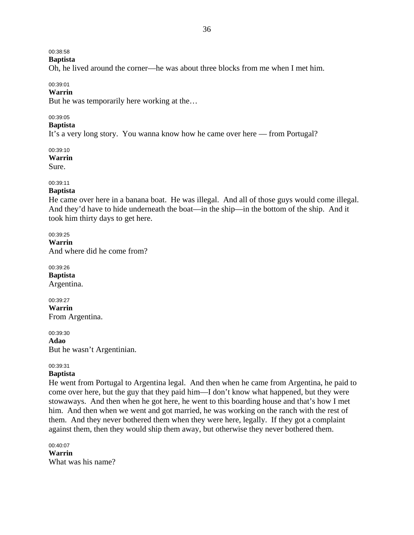00:38:58

**Baptista** 

Oh, he lived around the corner—he was about three blocks from me when I met him.

#### 00:39:01

### **Warrin**

But he was temporarily here working at the…

### 00:39:05

### **Baptista**

It's a very long story. You wanna know how he came over here — from Portugal?

00:39:10 **Warrin**  Sure.

### 00:39:11

#### **Baptista**

He came over here in a banana boat. He was illegal. And all of those guys would come illegal. And they'd have to hide underneath the boat—in the ship—in the bottom of the ship. And it took him thirty days to get here.

00:39:25 **Warrin**  And where did he come from?

00:39:26 **Baptista**  Argentina.

00:39:27 **Warrin**  From Argentina.

00:39:30 **Adao**  But he wasn't Argentinian.

### 00:39:31

### **Baptista**

He went from Portugal to Argentina legal. And then when he came from Argentina, he paid to come over here, but the guy that they paid him—I don't know what happened, but they were stowaways. And then when he got here, he went to this boarding house and that's how I met him. And then when we went and got married, he was working on the ranch with the rest of them. And they never bothered them when they were here, legally. If they got a complaint against them, then they would ship them away, but otherwise they never bothered them.

00:40:07 **Warrin**  What was his name?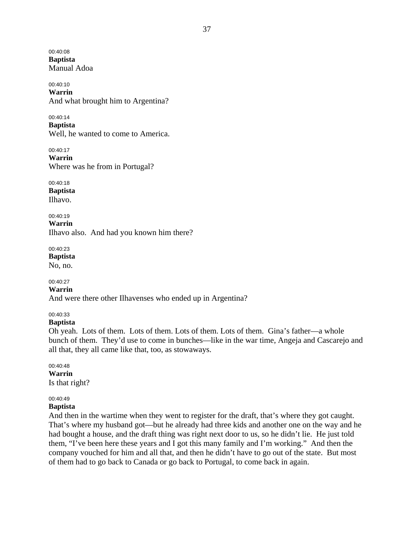00:40:08 **Baptista**  Manual Adoa

00:40:10 **Warrin**  And what brought him to Argentina?

00:40:14 **Baptista**  Well, he wanted to come to America.

00:40:17 **Warrin**  Where was he from in Portugal?

00:40:18 **Baptista**  Ilhavo.

00:40:19 **Warrin**  Ilhavo also. And had you known him there?

00:40:23 **Baptista** 

No, no.

00:40:27

### **Warrin**

And were there other Ilhavenses who ended up in Argentina?

# 00:40:33

### **Baptista**

Oh yeah. Lots of them. Lots of them. Lots of them. Lots of them. Gina's father—a whole bunch of them. They'd use to come in bunches—like in the war time, Angeja and Cascarejo and all that, they all came like that, too, as stowaways.

00:40:48 **Warrin**  Is that right?

### 00:40:49

### **Baptista**

And then in the wartime when they went to register for the draft, that's where they got caught. That's where my husband got—but he already had three kids and another one on the way and he had bought a house, and the draft thing was right next door to us, so he didn't lie. He just told them, "I've been here these years and I got this many family and I'm working." And then the company vouched for him and all that, and then he didn't have to go out of the state. But most of them had to go back to Canada or go back to Portugal, to come back in again.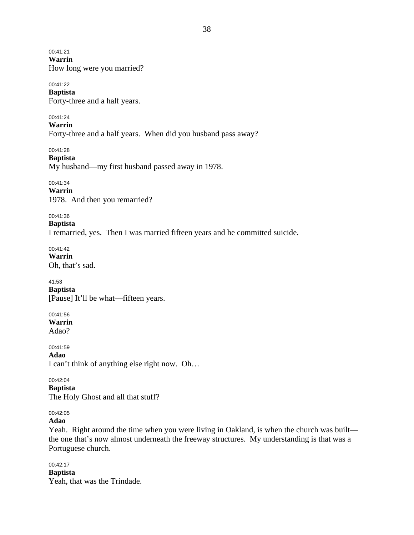00:41:21 **Warrin**  How long were you married?

00:41:22 **Baptista**  Forty-three and a half years.

00:41:24 **Warrin**  Forty-three and a half years. When did you husband pass away?

00:41:28 **Baptista**  My husband—my first husband passed away in 1978.

00:41:34 **Warrin**  1978. And then you remarried?

00:41:36 **Baptista**  I remarried, yes. Then I was married fifteen years and he committed suicide.

00:41:42 **Warrin**  Oh, that's sad.

41:53 **Baptista**  [Pause] It'll be what—fifteen years.

00:41:56 **Warrin**  Adao?

00:41:59 **Adao**  I can't think of anything else right now. Oh…

00:42:04 **Baptista**  The Holy Ghost and all that stuff?

# 00:42:05

**Adao** 

Yeah. Right around the time when you were living in Oakland, is when the church was built the one that's now almost underneath the freeway structures. My understanding is that was a Portuguese church.

00:42:17 **Baptista**  Yeah, that was the Trindade.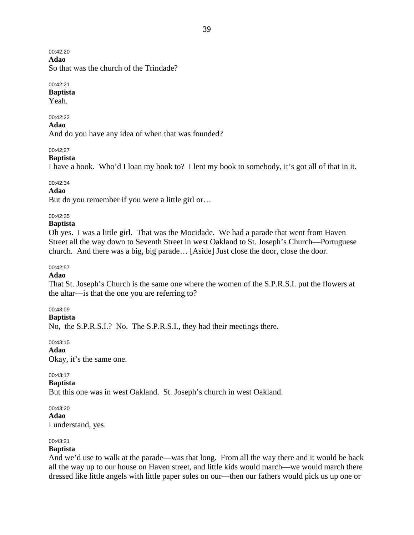00:42:20

**Adao** 

So that was the church of the Trindade?

#### 00:42:21

**Baptista** 

Yeah.

00:42:22

**Adao** 

And do you have any idea of when that was founded?

00:42:27

### **Baptista**

I have a book. Who'd I loan my book to? I lent my book to somebody, it's got all of that in it.

### 00:42:34

**Adao** 

But do you remember if you were a little girl or…

### 00:42:35

#### **Baptista**

Oh yes. I was a little girl. That was the Mocidade. We had a parade that went from Haven Street all the way down to Seventh Street in west Oakland to St. Joseph's Church—Portuguese church. And there was a big, big parade… [Aside] Just close the door, close the door.

### 00:42:57

# **Adao**

That St. Joseph's Church is the same one where the women of the S.P.R.S.I. put the flowers at the altar—is that the one you are referring to?

#### 00:43:09

#### **Baptista**

No, the S.P.R.S.I.? No. The S.P.R.S.I., they had their meetings there.

00:43:15

#### **Adao**

Okay, it's the same one.

### 00:43:17

#### **Baptista**

But this one was in west Oakland. St. Joseph's church in west Oakland.

### 00:43:20

**Adao** 

I understand, yes.

#### 00:43:21

### **Baptista**

And we'd use to walk at the parade—was that long. From all the way there and it would be back all the way up to our house on Haven street, and little kids would march—we would march there dressed like little angels with little paper soles on our—then our fathers would pick us up one or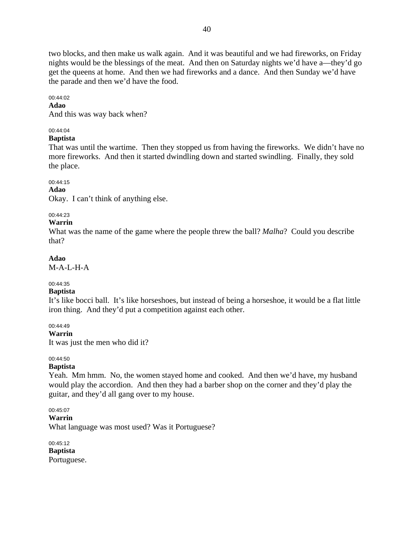two blocks, and then make us walk again. And it was beautiful and we had fireworks, on Friday nights would be the blessings of the meat. And then on Saturday nights we'd have a—they'd go get the queens at home. And then we had fireworks and a dance. And then Sunday we'd have the parade and then we'd have the food.

### 00:44:02

**Adao**  And this was way back when?

### 00:44:04

#### **Baptista**

That was until the wartime. Then they stopped us from having the fireworks. We didn't have no more fireworks. And then it started dwindling down and started swindling. Finally, they sold the place.

### 00:44:15

#### **Adao**

Okay. I can't think of anything else.

#### 00:44:23

### **Warrin**

What was the name of the game where the people threw the ball? *Malha*? Could you describe that?

#### **Adao**

M-A-L-H-A

#### 00:44:35

#### **Baptista**

It's like bocci ball. It's like horseshoes, but instead of being a horseshoe, it would be a flat little iron thing. And they'd put a competition against each other.

### 00:44:49

#### **Warrin**

It was just the men who did it?

### 00:44:50

### **Baptista**

Yeah. Mm hmm. No, the women stayed home and cooked. And then we'd have, my husband would play the accordion. And then they had a barber shop on the corner and they'd play the guitar, and they'd all gang over to my house.

00:45:07

#### **Warrin**

What language was most used? Was it Portuguese?

00:45:12 **Baptista**  Portuguese.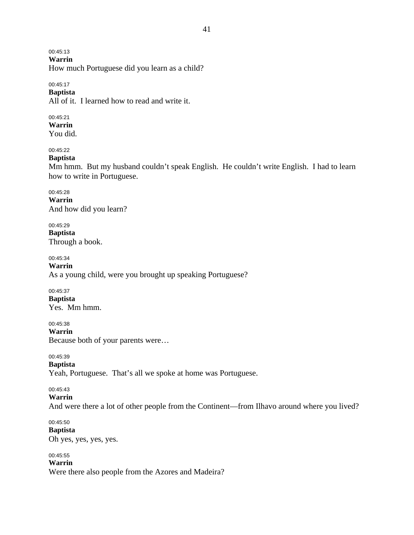00:45:13

**Warrin** 

How much Portuguese did you learn as a child?

### 00:45:17

### **Baptista**

All of it. I learned how to read and write it.

### 00:45:21

**Warrin**  You did.

### 00:45:22

### **Baptista**

Mm hmm. But my husband couldn't speak English. He couldn't write English. I had to learn how to write in Portuguese.

### 00:45:28

**Warrin**  And how did you learn?

00:45:29 **Baptista**  Through a book.

00:45:34

**Warrin**  As a young child, were you brought up speaking Portuguese?

# 00:45:37

**Baptista**  Yes. Mm hmm.

# 00:45:38

**Warrin**  Because both of your parents were…

# 00:45:39

### **Baptista**

Yeah, Portuguese. That's all we spoke at home was Portuguese.

### 00:45:43

### **Warrin**

And were there a lot of other people from the Continent—from Ilhavo around where you lived?

#### 00:45:50 **Baptista**

Oh yes, yes, yes, yes.

### 00:45:55

**Warrin** 

Were there also people from the Azores and Madeira?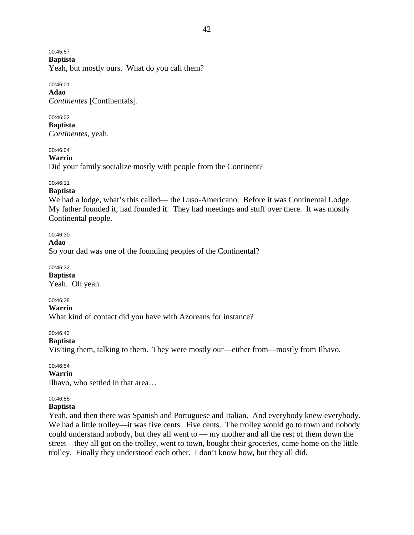00:45:57 **Baptista**  Yeah, but mostly ours. What do you call them?

#### 00:46:01 **Adao**  *Continentes* [Continentals].

00:46:02 **Baptista**  *Continentes*, yeah.

00:46:04

**Warrin** 

Did your family socialize mostly with people from the Continent?

### 00:46:11

#### **Baptista**

We had a lodge, what's this called— the Luso-Americano. Before it was Continental Lodge. My father founded it, had founded it. They had meetings and stuff over there. It was mostly Continental people.

00:46:30

**Adao** 

So your dad was one of the founding peoples of the Continental?

00:46:32 **Baptista**  Yeah. Oh yeah.

00:46:38

**Warrin** 

What kind of contact did you have with Azoreans for instance?

00:46:43

**Baptista** 

Visiting them, talking to them. They were mostly our—either from—mostly from Ilhavo.

00:46:54

**Warrin** 

Ilhavo, who settled in that area…

00:46:55

### **Baptista**

Yeah, and then there was Spanish and Portuguese and Italian. And everybody knew everybody. We had a little trolley—it was five cents. Five cents. The trolley would go to town and nobody could understand nobody, but they all went to — my mother and all the rest of them down the street—they all got on the trolley, went to town, bought their groceries, came home on the little trolley. Finally they understood each other. I don't know how, but they all did.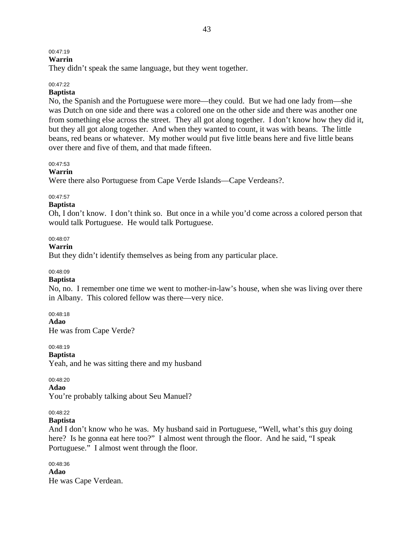## 00:47:19

### **Warrin**

They didn't speak the same language, but they went together.

#### 00:47:22

### **Baptista**

No, the Spanish and the Portuguese were more—they could. But we had one lady from—she was Dutch on one side and there was a colored one on the other side and there was another one from something else across the street. They all got along together. I don't know how they did it, but they all got along together. And when they wanted to count, it was with beans. The little beans, red beans or whatever. My mother would put five little beans here and five little beans over there and five of them, and that made fifteen.

00:47:53

#### **Warrin**

Were there also Portuguese from Cape Verde Islands—Cape Verdeans?.

#### 00:47:57

#### **Baptista**

Oh, I don't know. I don't think so. But once in a while you'd come across a colored person that would talk Portuguese. He would talk Portuguese.

#### 00:48:07

#### **Warrin**

But they didn't identify themselves as being from any particular place.

### 00:48:09

### **Baptista**

No, no. I remember one time we went to mother-in-law's house, when she was living over there in Albany. This colored fellow was there—very nice.

# 00:48:18

**Adao** 

He was from Cape Verde?

00:48:19

### **Baptista**

Yeah, and he was sitting there and my husband

### 00:48:20

### **Adao**

You're probably talking about Seu Manuel?

### 00:48:22

### **Baptista**

And I don't know who he was. My husband said in Portuguese, "Well, what's this guy doing here? Is he gonna eat here too?" I almost went through the floor. And he said, "I speak Portuguese." I almost went through the floor.

#### 00:48:36 **Adao**  He was Cape Verdean.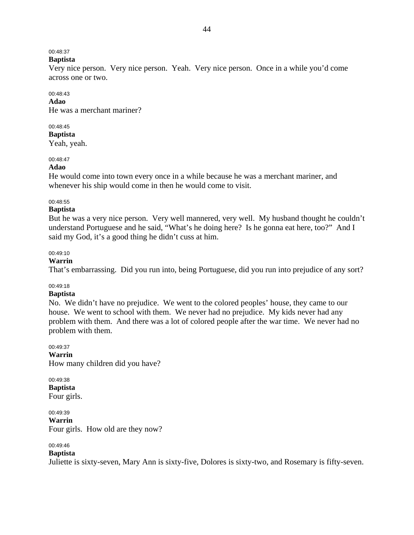# 00:48:37

#### **Baptista**

Very nice person. Very nice person. Yeah. Very nice person. Once in a while you'd come across one or two.

### 00:48:43

**Adao**  He was a merchant mariner?

# 00:48:45

**Baptista**  Yeah, yeah.

### 00:48:47

**Adao** 

He would come into town every once in a while because he was a merchant mariner, and whenever his ship would come in then he would come to visit.

### 00:48:55

### **Baptista**

But he was a very nice person. Very well mannered, very well. My husband thought he couldn't understand Portuguese and he said, "What's he doing here? Is he gonna eat here, too?" And I said my God, it's a good thing he didn't cuss at him.

### 00:49:10

#### **Warrin**

That's embarrassing. Did you run into, being Portuguese, did you run into prejudice of any sort?

### 00:49:18

### **Baptista**

No. We didn't have no prejudice. We went to the colored peoples' house, they came to our house. We went to school with them. We never had no prejudice. My kids never had any problem with them. And there was a lot of colored people after the war time. We never had no problem with them.

# 00:49:37

**Warrin**  How many children did you have?

# 00:49:38 **Baptista**

Four girls.

#### 00:49:39 **Warrin**

Four girls. How old are they now?

### 00:49:46

### **Baptista**

Juliette is sixty-seven, Mary Ann is sixty-five, Dolores is sixty-two, and Rosemary is fifty-seven.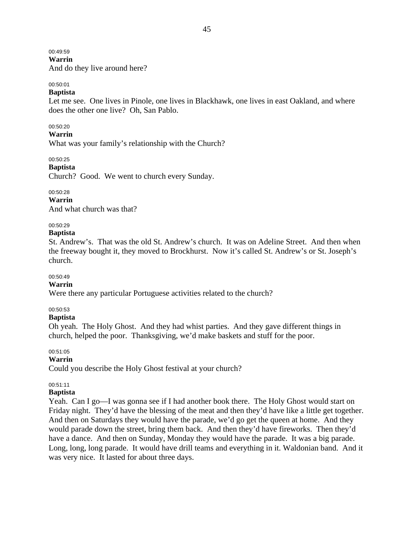### 00:49:59

**Warrin**  And do they live around here?

#### 00:50:01

#### **Baptista**

Let me see. One lives in Pinole, one lives in Blackhawk, one lives in east Oakland, and where does the other one live? Oh, San Pablo.

#### 00:50:20

### **Warrin**

What was your family's relationship with the Church?

### 00:50:25

**Baptista**  Church? Good. We went to church every Sunday.

#### 00:50:28

#### **Warrin**

And what church was that?

### 00:50:29

### **Baptista**

St. Andrew's. That was the old St. Andrew's church. It was on Adeline Street. And then when the freeway bought it, they moved to Brockhurst. Now it's called St. Andrew's or St. Joseph's church.

### 00:50:49

#### **Warrin**

Were there any particular Portuguese activities related to the church?

#### 00:50:53

### **Baptista**

Oh yeah. The Holy Ghost. And they had whist parties. And they gave different things in church, helped the poor. Thanksgiving, we'd make baskets and stuff for the poor.

#### 00:51:05

### **Warrin**

Could you describe the Holy Ghost festival at your church?

### 00:51:11

#### **Baptista**

Yeah. Can I go—I was gonna see if I had another book there. The Holy Ghost would start on Friday night. They'd have the blessing of the meat and then they'd have like a little get together. And then on Saturdays they would have the parade, we'd go get the queen at home. And they would parade down the street, bring them back. And then they'd have fireworks. Then they'd have a dance. And then on Sunday, Monday they would have the parade. It was a big parade. Long, long, long parade. It would have drill teams and everything in it. Waldonian band. And it was very nice. It lasted for about three days.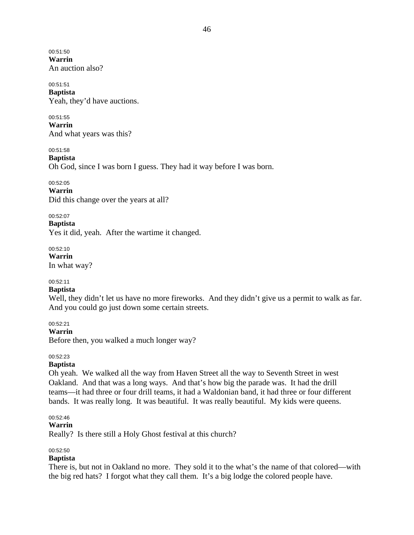00:51:50 **Warrin**  An auction also?

00:51:51 **Baptista**  Yeah, they'd have auctions.

00:51:55 **Warrin**  And what years was this?

00:51:58 **Baptista**  Oh God, since I was born I guess. They had it way before I was born.

00:52:05 **Warrin**  Did this change over the years at all?

00:52:07 **Baptista**  Yes it did, yeah. After the wartime it changed.

00:52:10 **Warrin**  In what way?

### 00:52:11

### **Baptista**

Well, they didn't let us have no more fireworks. And they didn't give us a permit to walk as far. And you could go just down some certain streets.

00:52:21

**Warrin** 

Before then, you walked a much longer way?

#### 00:52:23

### **Baptista**

Oh yeah. We walked all the way from Haven Street all the way to Seventh Street in west Oakland. And that was a long ways. And that's how big the parade was. It had the drill teams—it had three or four drill teams, it had a Waldonian band, it had three or four different bands. It was really long. It was beautiful. It was really beautiful. My kids were queens.

00:52:46

### **Warrin**

Really? Is there still a Holy Ghost festival at this church?

### 00:52:50

### **Baptista**

There is, but not in Oakland no more. They sold it to the what's the name of that colored—with the big red hats? I forgot what they call them. It's a big lodge the colored people have.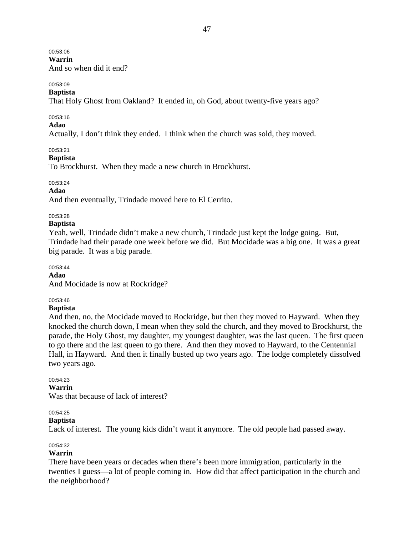00:53:06

**Warrin**  And so when did it end?

#### 00:53:09

#### **Baptista**

That Holy Ghost from Oakland? It ended in, oh God, about twenty-five years ago?

### 00:53:16

#### **Adao**

Actually, I don't think they ended. I think when the church was sold, they moved.

#### 00:53:21

### **Baptista**

To Brockhurst. When they made a new church in Brockhurst.

### 00:53:24

**Adao** 

And then eventually, Trindade moved here to El Cerrito.

### 00:53:28

### **Baptista**

Yeah, well, Trindade didn't make a new church, Trindade just kept the lodge going. But, Trindade had their parade one week before we did. But Mocidade was a big one. It was a great big parade. It was a big parade.

#### 00:53:44

## **Adao**

And Mocidade is now at Rockridge?

### 00:53:46

### **Baptista**

And then, no, the Mocidade moved to Rockridge, but then they moved to Hayward. When they knocked the church down, I mean when they sold the church, and they moved to Brockhurst, the parade, the Holy Ghost, my daughter, my youngest daughter, was the last queen. The first queen to go there and the last queen to go there. And then they moved to Hayward, to the Centennial Hall, in Hayward. And then it finally busted up two years ago. The lodge completely dissolved two years ago.

### 00:54:23

#### **Warrin**

Was that because of lack of interest?

### 00:54:25

#### **Baptista**

Lack of interest. The young kids didn't want it anymore. The old people had passed away.

### 00:54:32

### **Warrin**

There have been years or decades when there's been more immigration, particularly in the twenties I guess—a lot of people coming in. How did that affect participation in the church and the neighborhood?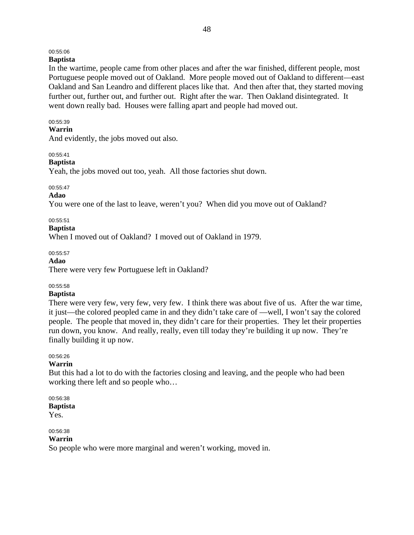# 00:55:06

# **Baptista**

In the wartime, people came from other places and after the war finished, different people, most Portuguese people moved out of Oakland. More people moved out of Oakland to different—east Oakland and San Leandro and different places like that. And then after that, they started moving further out, further out, and further out. Right after the war. Then Oakland disintegrated. It went down really bad. Houses were falling apart and people had moved out.

### 00:55:39

### **Warrin**

And evidently, the jobs moved out also.

#### 00:55:41

### **Baptista**

Yeah, the jobs moved out too, yeah. All those factories shut down.

### 00:55:47

#### **Adao**

You were one of the last to leave, weren't you? When did you move out of Oakland?

#### 00:55:51

### **Baptista**

When I moved out of Oakland? I moved out of Oakland in 1979.

### 00:55:57

**Adao** 

There were very few Portuguese left in Oakland?

### 00:55:58

### **Baptista**

There were very few, very few, very few. I think there was about five of us. After the war time, it just—the colored peopled came in and they didn't take care of —well, I won't say the colored people. The people that moved in, they didn't care for their properties. They let their properties run down, you know. And really, really, even till today they're building it up now. They're finally building it up now.

#### 00:56:26

### **Warrin**

But this had a lot to do with the factories closing and leaving, and the people who had been working there left and so people who…

### 00:56:38

**Baptista** 

Yes.

### 00:56:38

### **Warrin**

So people who were more marginal and weren't working, moved in.